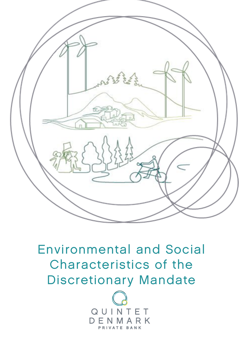

## Environmental and Social Characteristics of the Discretionary Mandate

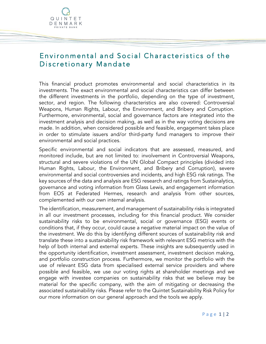

## Environmental and Social Characteristics of the Discretionary Mandate

This financial product promotes environmental and social characteristics in its investments. The exact environmental and social characteristics can differ between the different investments in the portfolio, depending on the type of investment, sector, and region. The following characteristics are also covered: Controversial Weapons, Human Rights, Labour, the Environment, and Bribery and Corruption. Furthermore, environmental, social and governance factors are integrated into the investment analysis and decision making, as well as in the way voting decisions are made. In addition, when considered possible and feasible, engagement takes place in order to stimulate issuers and/or third-party fund managers to improve their environmental and social practices.

Specific environmental and social indicators that are assessed, measured, and monitored include, but are not limited to: involvement in Controversial Weapons, structural and severe violations of the UN Global Compact principles (divided into Human Rights, Labour, the Environment, and Bribery and Corruption), severe environmental and social controversies and incidents, and high ESG risk ratings. The key sources of the data and analysis are ESG research and ratings from Sustainalytics, governance and voting information from Glass Lewis, and engagement information from EOS at Federated Hermes, research and analysis from other sources, complemented with our own internal analysis.

The identification, measurement, and management of sustainability risks is integrated in all our investment processes, including for this financial product. We consider sustainability risks to be environmental, social or governance (ESG) events or conditions that, if they occur, could cause a negative material impact on the value of the investment. We do this by identifying different sources of sustainability risk and translate these into a sustainability risk framework with relevant ESG metrics with the help of both internal and external experts. These insights are subsequently used in the opportunity identification, investment assessment, investment decision making, and portfolio construction process. Furthermore, we monitor the portfolio with the use of relevant ESG data from specialised external service providers and where possible and feasible, we use our voting rights at shareholder meetings and we engage with investee companies on sustainability risks that we believe may be material for the specific company, with the aim of mitigating or decreasing the associated sustainability risks. Please refer to the Quintet Sustainability Risk Policy for our more information on our general approach and the tools we apply.